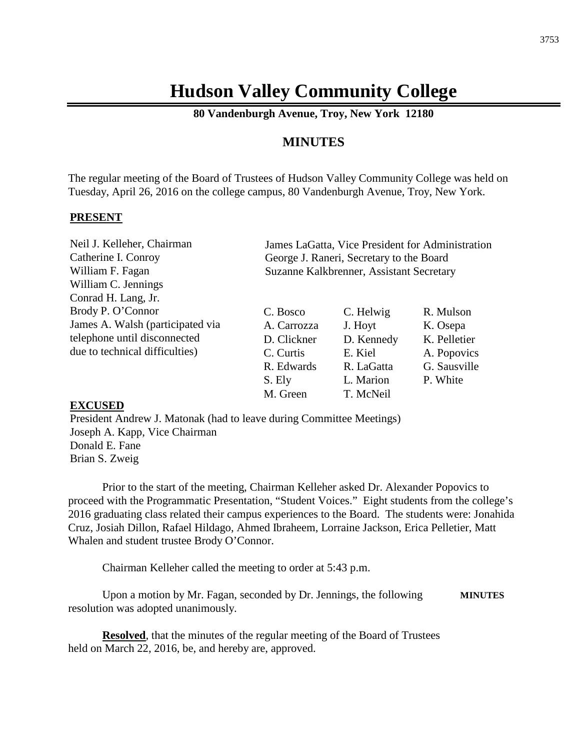# **Hudson Valley Community College**

**80 Vandenburgh Avenue, Troy, New York 12180**

## **MINUTES**

The regular meeting of the Board of Trustees of Hudson Valley Community College was held on Tuesday, April 26, 2016 on the college campus, 80 Vandenburgh Avenue, Troy, New York.

#### **PRESENT**

| Neil J. Kelleher, Chairman       |                                          |            | James LaGatta, Vice President for Administration |
|----------------------------------|------------------------------------------|------------|--------------------------------------------------|
| Catherine I. Conroy              | George J. Raneri, Secretary to the Board |            |                                                  |
| William F. Fagan                 | Suzanne Kalkbrenner, Assistant Secretary |            |                                                  |
| William C. Jennings              |                                          |            |                                                  |
| Conrad H. Lang, Jr.              |                                          |            |                                                  |
| Brody P. O'Connor                | C. Bosco                                 | C. Helwig  | R. Mulson                                        |
| James A. Walsh (participated via | A. Carrozza                              | J. Hoyt    | K. Osepa                                         |
| telephone until disconnected     | D. Clickner                              | D. Kennedy | K. Pelletier                                     |
| due to technical difficulties)   | C. Curtis                                | E. Kiel    | A. Popovics                                      |
|                                  | R. Edwards                               | R. LaGatta | G. Sausville                                     |
|                                  | S. Ely                                   | L. Marion  | P. White                                         |

#### **EXCUSED**

President Andrew J. Matonak (had to leave during Committee Meetings) Joseph A. Kapp, Vice Chairman Donald E. Fane Brian S. Zweig

Prior to the start of the meeting, Chairman Kelleher asked Dr. Alexander Popovics to proceed with the Programmatic Presentation, "Student Voices." Eight students from the college's 2016 graduating class related their campus experiences to the Board. The students were: Jonahida Cruz, Josiah Dillon, Rafael Hildago, Ahmed Ibraheem, Lorraine Jackson, Erica Pelletier, Matt Whalen and student trustee Brody O'Connor.

M. Green T. McNeil

Chairman Kelleher called the meeting to order at 5:43 p.m.

Upon a motion by Mr. Fagan, seconded by Dr. Jennings, the following **MINUTES** resolution was adopted unanimously.

**Resolved**, that the minutes of the regular meeting of the Board of Trustees held on March 22, 2016, be, and hereby are, approved.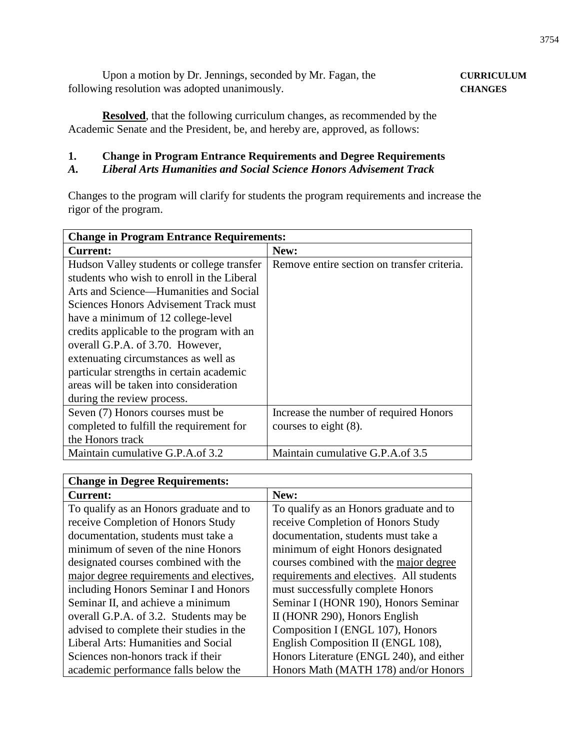Upon a motion by Dr. Jennings, seconded by Mr. Fagan, the **CURRICULUM** following resolution was adopted unanimously. **CHANGES**

**Resolved**, that the following curriculum changes, as recommended by the Academic Senate and the President, be, and hereby are, approved, as follows:

## **1. Change in Program Entrance Requirements and Degree Requirements**

## *A. Liberal Arts Humanities and Social Science Honors Advisement Track*

Changes to the program will clarify for students the program requirements and increase the rigor of the program.

| <b>Change in Program Entrance Requirements:</b> |                                             |  |
|-------------------------------------------------|---------------------------------------------|--|
| <b>Current:</b>                                 | New:                                        |  |
| Hudson Valley students or college transfer      | Remove entire section on transfer criteria. |  |
| students who wish to enroll in the Liberal      |                                             |  |
| Arts and Science—Humanities and Social          |                                             |  |
| Sciences Honors Advisement Track must           |                                             |  |
| have a minimum of 12 college-level              |                                             |  |
| credits applicable to the program with an       |                                             |  |
| overall G.P.A. of 3.70. However,                |                                             |  |
| extenuating circumstances as well as            |                                             |  |
| particular strengths in certain academic        |                                             |  |
| areas will be taken into consideration          |                                             |  |
| during the review process.                      |                                             |  |
| Seven (7) Honors courses must be                | Increase the number of required Honors      |  |
| completed to fulfill the requirement for        | courses to eight $(8)$ .                    |  |
| the Honors track                                |                                             |  |
| Maintain cumulative G.P.A.of 3.2                | Maintain cumulative G.P.A.of 3.5            |  |

| <b>Change in Degree Requirements:</b>    |                                          |  |
|------------------------------------------|------------------------------------------|--|
| <b>Current:</b>                          | New:                                     |  |
| To qualify as an Honors graduate and to  | To qualify as an Honors graduate and to  |  |
| receive Completion of Honors Study       | receive Completion of Honors Study       |  |
| documentation, students must take a      | documentation, students must take a      |  |
| minimum of seven of the nine Honors      | minimum of eight Honors designated       |  |
| designated courses combined with the     | courses combined with the major degree   |  |
| major degree requirements and electives, | requirements and electives. All students |  |
| including Honors Seminar I and Honors    | must successfully complete Honors        |  |
| Seminar II, and achieve a minimum        | Seminar I (HONR 190), Honors Seminar     |  |
| overall G.P.A. of 3.2. Students may be   | II (HONR 290), Honors English            |  |
| advised to complete their studies in the | Composition I (ENGL 107), Honors         |  |
| Liberal Arts: Humanities and Social      | English Composition II (ENGL 108),       |  |
| Sciences non-honors track if their       | Honors Literature (ENGL 240), and either |  |
| academic performance falls below the     | Honors Math (MATH 178) and/or Honors     |  |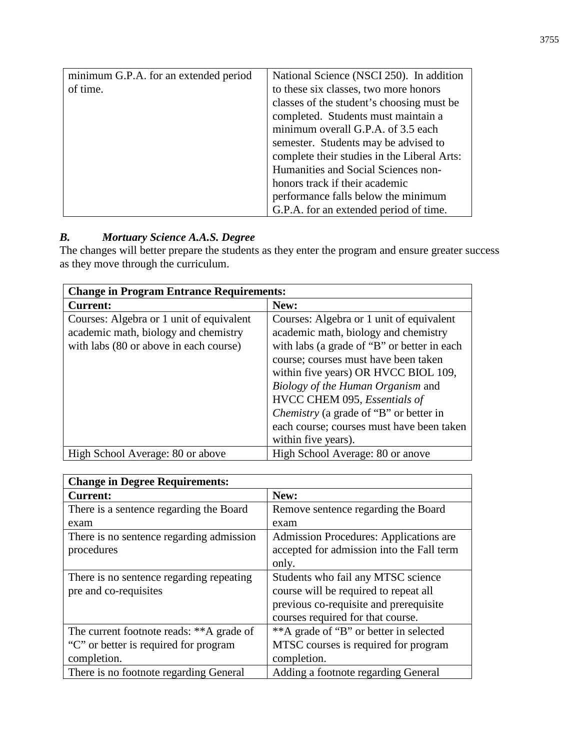| minimum G.P.A. for an extended period | National Science (NSCI 250). In addition    |  |
|---------------------------------------|---------------------------------------------|--|
| of time.                              | to these six classes, two more honors       |  |
|                                       | classes of the student's choosing must be   |  |
|                                       | completed. Students must maintain a         |  |
|                                       | minimum overall G.P.A. of 3.5 each          |  |
|                                       | semester. Students may be advised to        |  |
|                                       | complete their studies in the Liberal Arts: |  |
|                                       | Humanities and Social Sciences non-         |  |
|                                       | honors track if their academic              |  |
|                                       | performance falls below the minimum         |  |
|                                       | G.P.A. for an extended period of time.      |  |

## *B. Mortuary Science A.A.S. Degree*

The changes will better prepare the students as they enter the program and ensure greater success as they move through the curriculum.

| <b>Change in Program Entrance Requirements:</b>                                                                            |                                                                                                                                                                                                                                                                                                                                                                                                    |  |
|----------------------------------------------------------------------------------------------------------------------------|----------------------------------------------------------------------------------------------------------------------------------------------------------------------------------------------------------------------------------------------------------------------------------------------------------------------------------------------------------------------------------------------------|--|
| <b>Current:</b>                                                                                                            | New:                                                                                                                                                                                                                                                                                                                                                                                               |  |
| Courses: Algebra or 1 unit of equivalent<br>academic math, biology and chemistry<br>with labs (80 or above in each course) | Courses: Algebra or 1 unit of equivalent<br>academic math, biology and chemistry<br>with labs (a grade of "B" or better in each<br>course; courses must have been taken<br>within five years) OR HVCC BIOL 109,<br>Biology of the Human Organism and<br>HVCC CHEM 095, Essentials of<br>Chemistry (a grade of "B" or better in<br>each course; courses must have been taken<br>within five years). |  |
| High School Average: 80 or above                                                                                           | High School Average: 80 or anove                                                                                                                                                                                                                                                                                                                                                                   |  |

| <b>Change in Degree Requirements:</b>    |                                               |  |
|------------------------------------------|-----------------------------------------------|--|
| <b>Current:</b>                          | New:                                          |  |
| There is a sentence regarding the Board  | Remove sentence regarding the Board           |  |
| exam                                     | exam                                          |  |
| There is no sentence regarding admission | <b>Admission Procedures: Applications are</b> |  |
| procedures                               | accepted for admission into the Fall term     |  |
|                                          | only.                                         |  |
| There is no sentence regarding repeating | Students who fail any MTSC science            |  |
| pre and co-requisites                    | course will be required to repeat all         |  |
|                                          | previous co-requisite and prerequisite        |  |
|                                          | courses required for that course.             |  |
| The current footnote reads: **A grade of | **A grade of "B" or better in selected        |  |
| "C" or better is required for program    | MTSC courses is required for program          |  |
| completion.                              | completion.                                   |  |
| There is no footnote regarding General   | Adding a footnote regarding General           |  |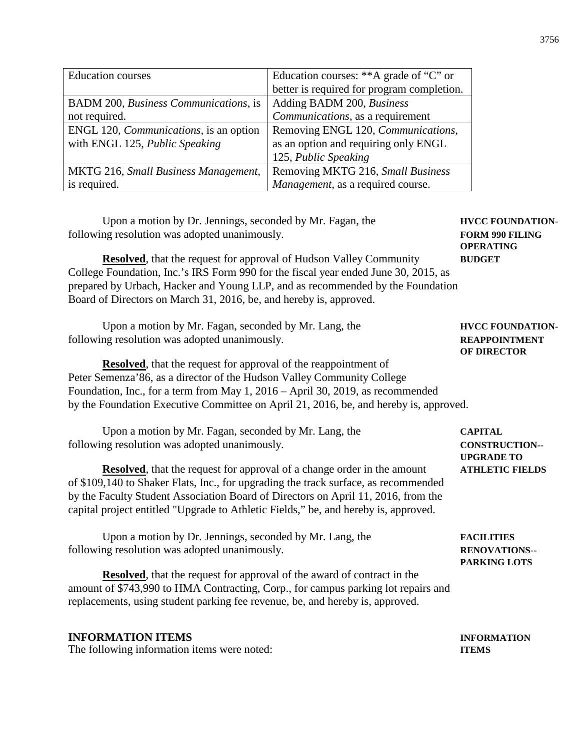| <b>Education courses</b>                             | Education courses: ** A grade of "C" or    |
|------------------------------------------------------|--------------------------------------------|
|                                                      | better is required for program completion. |
| <b>BADM</b> 200, <i>Business Communications</i> , is | Adding BADM 200, Business                  |
| not required.                                        | Communications, as a requirement           |
| ENGL 120, <i>Communications</i> , is an option       | Removing ENGL 120, Communications,         |
| with ENGL 125, Public Speaking                       | as an option and requiring only ENGL       |
|                                                      | 125, Public Speaking                       |
| MKTG 216, Small Business Management,                 | Removing MKTG 216, Small Business          |
| is required.                                         | Management, as a required course.          |

Upon a motion by Dr. Jennings, seconded by Mr. Fagan, the **HVCC FOUNDATION**following resolution was adopted unanimously. **FORM 990 FILING** 

**Resolved**, that the request for approval of Hudson Valley Community **BUDGET** College Foundation, Inc.'s IRS Form 990 for the fiscal year ended June 30, 2015, as prepared by Urbach, Hacker and Young LLP, and as recommended by the Foundation Board of Directors on March 31, 2016, be, and hereby is, approved.

Upon a motion by Mr. Fagan, seconded by Mr. Lang, the **HVCC FOUNDATION** following resolution was adopted unanimously. **REAPPOINTMENT** 

**Resolved**, that the request for approval of the reappointment of Peter Semenza'86, as a director of the Hudson Valley Community College Foundation, Inc., for a term from May 1, 2016 – April 30, 2019, as recommended by the Foundation Executive Committee on April 21, 2016, be, and hereby is, approved.

Upon a motion by Mr. Fagan, seconded by Mr. Lang, the **CAPITAL** following resolution was adopted unanimously. **CONSTRUCTION--**

**Resolved**, that the request for approval of a change order in the amount **ATHLETIC FIELDS** of \$109,140 to Shaker Flats, Inc., for upgrading the track surface, as recommended by the Faculty Student Association Board of Directors on April 11, 2016, from the capital project entitled "Upgrade to Athletic Fields," be, and hereby is, approved.

Upon a motion by Dr. Jennings, seconded by Mr. Lang, the **FACILITIES**  following resolution was adopted unanimously. **RENOVATIONS--**

**Resolved**, that the request for approval of the award of contract in the amount of \$743,990 to HMA Contracting, Corp., for campus parking lot repairs and replacements, using student parking fee revenue, be, and hereby is, approved.

#### **INFORMATION ITEMS INFORMATION**

The following information items were noted: **ITEMS**

**OF DIRECTOR** 

**OPERATING** 

**UPGRADE TO**

**PARKING LOTS**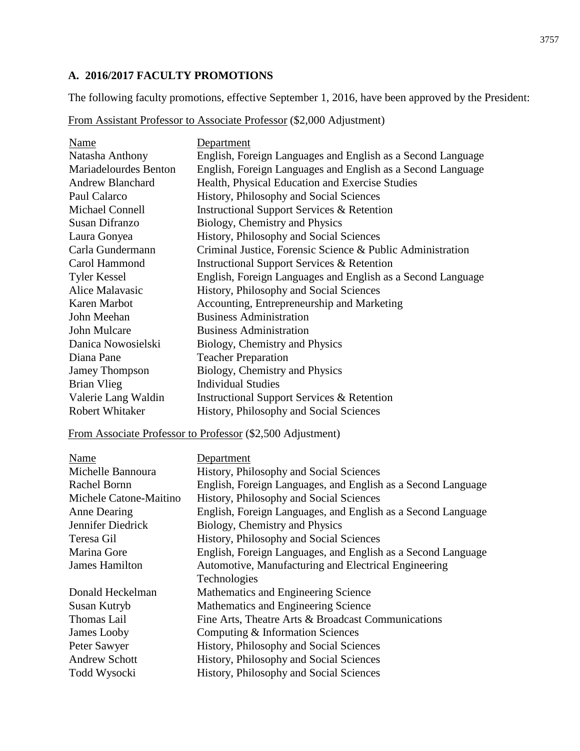## **A. 2016/2017 FACULTY PROMOTIONS**

The following faculty promotions, effective September 1, 2016, have been approved by the President:

| From Assistant Professor to Associate Professor (\$2,000 Adjustment) |
|----------------------------------------------------------------------|
|----------------------------------------------------------------------|

| Name                    | Department                                                  |
|-------------------------|-------------------------------------------------------------|
| Natasha Anthony         | English, Foreign Languages and English as a Second Language |
| Mariadelourdes Benton   | English, Foreign Languages and English as a Second Language |
| <b>Andrew Blanchard</b> | Health, Physical Education and Exercise Studies             |
| Paul Calarco            | History, Philosophy and Social Sciences                     |
| Michael Connell         | <b>Instructional Support Services &amp; Retention</b>       |
| Susan Difranzo          | Biology, Chemistry and Physics                              |
| Laura Gonyea            | History, Philosophy and Social Sciences                     |
| Carla Gundermann        | Criminal Justice, Forensic Science & Public Administration  |
| Carol Hammond           | <b>Instructional Support Services &amp; Retention</b>       |
| <b>Tyler Kessel</b>     | English, Foreign Languages and English as a Second Language |
| Alice Malayasic         | History, Philosophy and Social Sciences                     |
| Karen Marbot            | Accounting, Entrepreneurship and Marketing                  |
| John Meehan             | <b>Business Administration</b>                              |
| John Mulcare            | <b>Business Administration</b>                              |
| Danica Nowosielski      | Biology, Chemistry and Physics                              |
| Diana Pane              | <b>Teacher Preparation</b>                                  |
| Jamey Thompson          | Biology, Chemistry and Physics                              |
| Brian Vlieg             | <b>Individual Studies</b>                                   |
| Valerie Lang Waldin     | <b>Instructional Support Services &amp; Retention</b>       |
| Robert Whitaker         | History, Philosophy and Social Sciences                     |

## From Associate Professor to Professor (\$2,500 Adjustment)

| Name                   | Department                                                   |
|------------------------|--------------------------------------------------------------|
| Michelle Bannoura      | History, Philosophy and Social Sciences                      |
| Rachel Bornn           | English, Foreign Languages, and English as a Second Language |
| Michele Catone-Maitino | History, Philosophy and Social Sciences                      |
| Anne Dearing           | English, Foreign Languages, and English as a Second Language |
| Jennifer Diedrick      | Biology, Chemistry and Physics                               |
| Teresa Gil             | History, Philosophy and Social Sciences                      |
| Marina Gore            | English, Foreign Languages, and English as a Second Language |
| James Hamilton         | Automotive, Manufacturing and Electrical Engineering         |
|                        | Technologies                                                 |
| Donald Heckelman       | Mathematics and Engineering Science                          |
| Susan Kutryb           | Mathematics and Engineering Science                          |
| Thomas Lail            | Fine Arts, Theatre Arts & Broadcast Communications           |
| James Looby            | Computing & Information Sciences                             |
| Peter Sawyer           | History, Philosophy and Social Sciences                      |
| <b>Andrew Schott</b>   | History, Philosophy and Social Sciences                      |
| Todd Wysocki           | History, Philosophy and Social Sciences                      |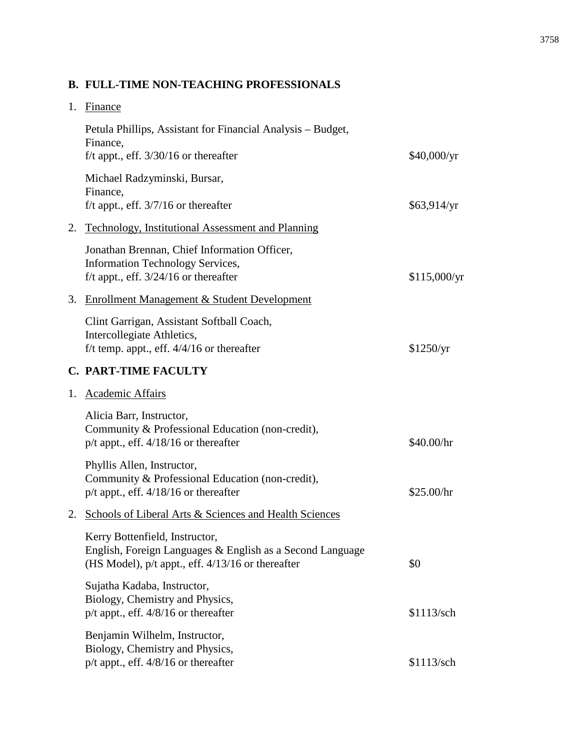## **B. FULL-TIME NON-TEACHING PROFESSIONALS**

| 1. | Finance                                                                                                                                              |              |
|----|------------------------------------------------------------------------------------------------------------------------------------------------------|--------------|
|    | Petula Phillips, Assistant for Financial Analysis – Budget,<br>Finance,<br>f/t appt., eff. $3/30/16$ or thereafter                                   | \$40,000/yr  |
|    | Michael Radzyminski, Bursar,<br>Finance,                                                                                                             |              |
|    | f/t appt., eff. $3/7/16$ or thereafter                                                                                                               | \$63,914/yr  |
| 2. | Technology, Institutional Assessment and Planning                                                                                                    |              |
|    | Jonathan Brennan, Chief Information Officer,<br><b>Information Technology Services,</b><br>f/t appt., eff. $3/24/16$ or thereafter                   | \$115,000/yr |
| 3. | <b>Enrollment Management &amp; Student Development</b>                                                                                               |              |
|    | Clint Garrigan, Assistant Softball Coach,<br>Intercollegiate Athletics,<br>f/t temp. appt., eff. $4/4/16$ or thereafter                              | \$1250/yr    |
|    | <b>C. PART-TIME FACULTY</b>                                                                                                                          |              |
| 1. | <b>Academic Affairs</b>                                                                                                                              |              |
|    | Alicia Barr, Instructor,<br>Community & Professional Education (non-credit),<br>$p/t$ appt., eff. $4/18/16$ or thereafter                            | \$40.00/hr   |
|    | Phyllis Allen, Instructor,<br>Community & Professional Education (non-credit),<br>$p/t$ appt., eff. $4/18/16$ or thereafter                          | \$25.00/hr   |
| 2. | Schools of Liberal Arts & Sciences and Health Sciences                                                                                               |              |
|    | Kerry Bottenfield, Instructor,<br>English, Foreign Languages & English as a Second Language<br>(HS Model), $p/t$ appt., eff. $4/13/16$ or thereafter | \$0          |
|    | Sujatha Kadaba, Instructor,<br>Biology, Chemistry and Physics,<br>$p/t$ appt., eff. $4/8/16$ or thereafter                                           | \$1113/sch   |
|    | Benjamin Wilhelm, Instructor,<br>Biology, Chemistry and Physics,<br>p/t appt., eff. 4/8/16 or thereafter                                             | \$1113/sch   |